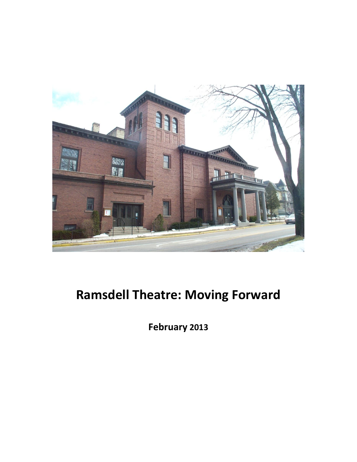

# **Ramsdell Theatre: Moving Forward**

**February 2013**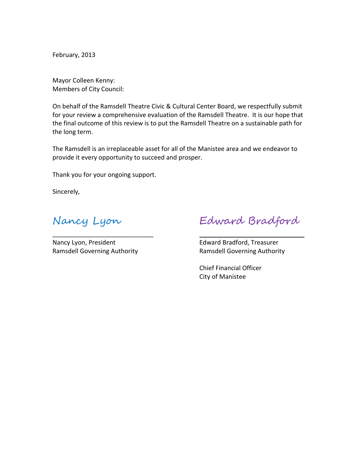February, 2013

Mayor Colleen Kenny: Members of City Council:

On behalf of the Ramsdell Theatre Civic & Cultural Center Board, we respectfully submit for your review a comprehensive evaluation of the Ramsdell Theatre. It is our hope that the final outcome of this review is to put the Ramsdell Theatre on a sustainable path for the long term.

The Ramsdell is an irreplaceable asset for all of the Manistee area and we endeavor to provide it every opportunity to succeed and prosper.

Thank you for your ongoing support.

Sincerely,

Nancy Lyon, President **Edward Bradford, Treasurer** Ramsdell Governing Authority Ramsdell Governing Authority

\_\_\_\_\_\_\_\_\_\_\_\_\_\_\_\_\_\_\_\_\_\_\_\_\_\_\_\_\_

Nancy Lyon Edward Bradford

Chief Financial Officer City of Manistee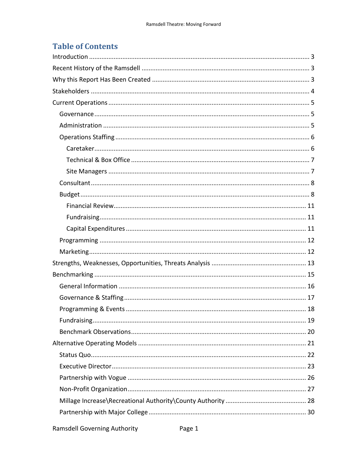# **Table of Contents**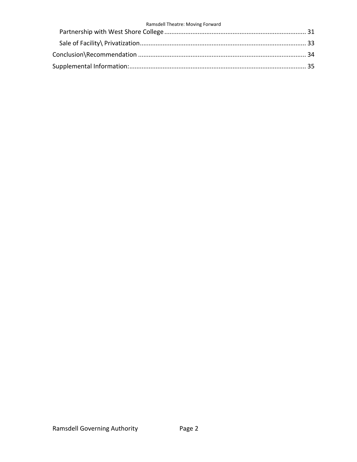#### Ramsdell Theatre: Moving Forward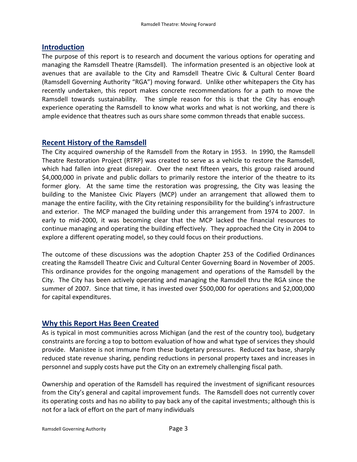### <span id="page-4-0"></span>**Introduction**

The purpose of this report is to research and document the various options for operating and managing the Ramsdell Theatre (Ramsdell). The information presented is an objective look at avenues that are available to the City and Ramsdell Theatre Civic & Cultural Center Board (Ramsdell Governing Authority "RGA") moving forward. Unlike other whitepapers the City has recently undertaken, this report makes concrete recommendations for a path to move the Ramsdell towards sustainability. The simple reason for this is that the City has enough experience operating the Ramsdell to know what works and what is not working, and there is ample evidence that theatres such as ours share some common threads that enable success.

### <span id="page-4-1"></span>**Recent History of the Ramsdell**

The City acquired ownership of the Ramsdell from the Rotary in 1953. In 1990, the Ramsdell Theatre Restoration Project (RTRP) was created to serve as a vehicle to restore the Ramsdell, which had fallen into great disrepair. Over the next fifteen years, this group raised around \$4,000,000 in private and public dollars to primarily restore the interior of the theatre to its former glory. At the same time the restoration was progressing, the City was leasing the building to the Manistee Civic Players (MCP) under an arrangement that allowed them to manage the entire facility, with the City retaining responsibility for the building's infrastructure and exterior. The MCP managed the building under this arrangement from 1974 to 2007. In early to mid-2000, it was becoming clear that the MCP lacked the financial resources to continue managing and operating the building effectively. They approached the City in 2004 to explore a different operating model, so they could focus on their productions.

The outcome of these discussions was the adoption Chapter 253 of the Codified Ordinances creating the Ramsdell Theatre Civic and Cultural Center Governing Board in November of 2005. This ordinance provides for the ongoing management and operations of the Ramsdell by the City. The City has been actively operating and managing the Ramsdell thru the RGA since the summer of 2007. Since that time, it has invested over \$500,000 for operations and \$2,000,000 for capital expenditures.

# <span id="page-4-2"></span>**Why this Report Has Been Created**

As is typical in most communities across Michigan (and the rest of the country too), budgetary constraints are forcing a top to bottom evaluation of how and what type of services they should provide. Manistee is not immune from these budgetary pressures. Reduced tax base, sharply reduced state revenue sharing, pending reductions in personal property taxes and increases in personnel and supply costs have put the City on an extremely challenging fiscal path.

Ownership and operation of the Ramsdell has required the investment of significant resources from the City's general and capital improvement funds. The Ramsdell does not currently cover its operating costs and has no ability to pay back any of the capital investments; although this is not for a lack of effort on the part of many individuals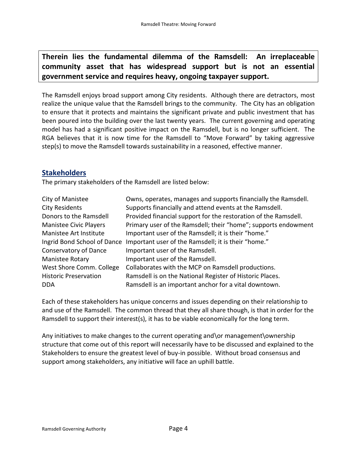**Therein lies the fundamental dilemma of the Ramsdell: An irreplaceable community asset that has widespread support but is not an essential government service and requires heavy, ongoing taxpayer support.**

The Ramsdell enjoys broad support among City residents. Although there are detractors, most realize the unique value that the Ramsdell brings to the community. The City has an obligation to ensure that it protects and maintains the significant private and public investment that has been poured into the building over the last twenty years. The current governing and operating model has had a significant positive impact on the Ramsdell, but is no longer sufficient. The RGA believes that it is now time for the Ramsdell to "Move Forward" by taking aggressive step(s) to move the Ramsdell towards sustainability in a reasoned, effective manner.

#### <span id="page-5-0"></span>**Stakeholders**

The primary stakeholders of the Ramsdell are listed below:

| City of Manistee             | Owns, operates, manages and supports financially the Ramsdell.  |
|------------------------------|-----------------------------------------------------------------|
| <b>City Residents</b>        | Supports financially and attend events at the Ramsdell.         |
| Donors to the Ramsdell       | Provided financial support for the restoration of the Ramsdell. |
| Manistee Civic Players       | Primary user of the Ramsdell; their "home"; supports endowment  |
| Manistee Art Institute       | Important user of the Ramsdell; it is their "home."             |
| Ingrid Bond School of Dance  | Important user of the Ramsdell; it is their "home."             |
| Conservatory of Dance        | Important user of the Ramsdell.                                 |
| Manistee Rotary              | Important user of the Ramsdell.                                 |
| West Shore Comm. College     | Collaborates with the MCP on Ramsdell productions.              |
| <b>Historic Preservation</b> | Ramsdell is on the National Register of Historic Places.        |
| <b>DDA</b>                   | Ramsdell is an important anchor for a vital downtown.           |

Each of these stakeholders has unique concerns and issues depending on their relationship to and use of the Ramsdell. The common thread that they all share though, is that in order for the Ramsdell to support their interest(s), it has to be viable economically for the long term.

Any initiatives to make changes to the current operating and\or management\ownership structure that come out of this report will necessarily have to be discussed and explained to the Stakeholders to ensure the greatest level of buy-in possible. Without broad consensus and support among stakeholders, any initiative will face an uphill battle.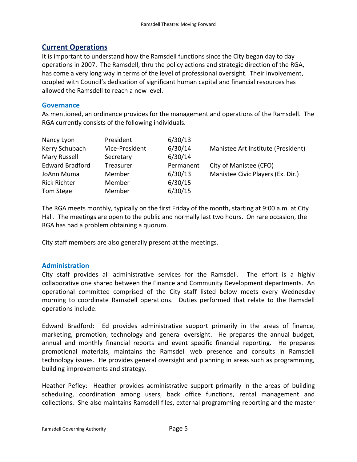## <span id="page-6-0"></span>**Current Operations**

It is important to understand how the Ramsdell functions since the City began day to day operations in 2007. The Ramsdell, thru the policy actions and strategic direction of the RGA, has come a very long way in terms of the level of professional oversight. Their involvement, coupled with Council's dedication of significant human capital and financial resources has allowed the Ramsdell to reach a new level.

#### <span id="page-6-1"></span>**Governance**

As mentioned, an ordinance provides for the management and operations of the Ramsdell. The RGA currently consists of the following individuals.

| Nancy Lyon             | President      | 6/30/13   |                                    |
|------------------------|----------------|-----------|------------------------------------|
| Kerry Schubach         | Vice-President | 6/30/14   | Manistee Art Institute (President) |
| Mary Russell           | Secretary      | 6/30/14   |                                    |
| <b>Edward Bradford</b> | Treasurer      | Permanent | City of Manistee (CFO)             |
| JoAnn Muma             | Member         | 6/30/13   | Manistee Civic Players (Ex. Dir.)  |
| <b>Rick Richter</b>    | Member         | 6/30/15   |                                    |
| Tom Stege              | Member         | 6/30/15   |                                    |

The RGA meets monthly, typically on the first Friday of the month, starting at 9:00 a.m. at City Hall. The meetings are open to the public and normally last two hours. On rare occasion, the RGA has had a problem obtaining a quorum.

City staff members are also generally present at the meetings.

#### <span id="page-6-2"></span>**Administration**

City staff provides all administrative services for the Ramsdell. The effort is a highly collaborative one shared between the Finance and Community Development departments. An operational committee comprised of the City staff listed below meets every Wednesday morning to coordinate Ramsdell operations. Duties performed that relate to the Ramsdell operations include:

Edward Bradford: Ed provides administrative support primarily in the areas of finance, marketing, promotion, technology and general oversight. He prepares the annual budget, annual and monthly financial reports and event specific financial reporting. He prepares promotional materials, maintains the Ramsdell web presence and consults in Ramsdell technology issues. He provides general oversight and planning in areas such as programming, building improvements and strategy.

Heather Pefley: Heather provides administrative support primarily in the areas of building scheduling, coordination among users, back office functions, rental management and collections. She also maintains Ramsdell files, external programming reporting and the master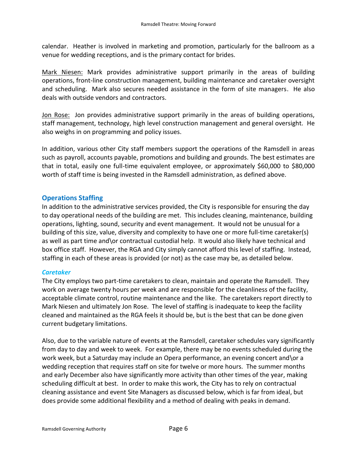calendar. Heather is involved in marketing and promotion, particularly for the ballroom as a venue for wedding receptions, and is the primary contact for brides.

Mark Niesen: Mark provides administrative support primarily in the areas of building operations, front-line construction management, building maintenance and caretaker oversight and scheduling. Mark also secures needed assistance in the form of site managers. He also deals with outside vendors and contractors.

Jon Rose: Jon provides administrative support primarily in the areas of building operations, staff management, technology, high level construction management and general oversight. He also weighs in on programming and policy issues.

In addition, various other City staff members support the operations of the Ramsdell in areas such as payroll, accounts payable, promotions and building and grounds. The best estimates are that in total, easily one full-time equivalent employee, or approximately \$60,000 to \$80,000 worth of staff time is being invested in the Ramsdell administration, as defined above.

#### <span id="page-7-0"></span>**Operations Staffing**

In addition to the administrative services provided, the City is responsible for ensuring the day to day operational needs of the building are met. This includes cleaning, maintenance, building operations, lighting, sound, security and event management. It would not be unusual for a building of this size, value, diversity and complexity to have one or more full-time caretaker(s) as well as part time and\or contractual custodial help. It would also likely have technical and box office staff. However, the RGA and City simply cannot afford this level of staffing. Instead, staffing in each of these areas is provided (or not) as the case may be, as detailed below.

#### <span id="page-7-1"></span>*Caretaker*

The City employs two part-time caretakers to clean, maintain and operate the Ramsdell. They work on average twenty hours per week and are responsible for the cleanliness of the facility, acceptable climate control, routine maintenance and the like. The caretakers report directly to Mark Niesen and ultimately Jon Rose. The level of staffing is inadequate to keep the facility cleaned and maintained as the RGA feels it should be, but is the best that can be done given current budgetary limitations.

Also, due to the variable nature of events at the Ramsdell, caretaker schedules vary significantly from day to day and week to week. For example, there may be no events scheduled during the work week, but a Saturday may include an Opera performance, an evening concert and \or a wedding reception that requires staff on site for twelve or more hours. The summer months and early December also have significantly more activity than other times of the year, making scheduling difficult at best. In order to make this work, the City has to rely on contractual cleaning assistance and event Site Managers as discussed below, which is far from ideal, but does provide some additional flexibility and a method of dealing with peaks in demand.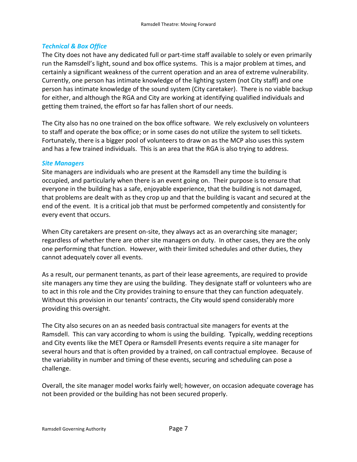#### <span id="page-8-0"></span>*Technical & Box Office*

The City does not have any dedicated full or part-time staff available to solely or even primarily run the Ramsdell's light, sound and box office systems. This is a major problem at times, and certainly a significant weakness of the current operation and an area of extreme vulnerability. Currently, one person has intimate knowledge of the lighting system (not City staff) and one person has intimate knowledge of the sound system (City caretaker). There is no viable backup for either, and although the RGA and City are working at identifying qualified individuals and getting them trained, the effort so far has fallen short of our needs.

The City also has no one trained on the box office software. We rely exclusively on volunteers to staff and operate the box office; or in some cases do not utilize the system to sell tickets. Fortunately, there is a bigger pool of volunteers to draw on as the MCP also uses this system and has a few trained individuals. This is an area that the RGA is also trying to address.

#### <span id="page-8-1"></span>*Site Managers*

Site managers are individuals who are present at the Ramsdell any time the building is occupied, and particularly when there is an event going on. Their purpose is to ensure that everyone in the building has a safe, enjoyable experience, that the building is not damaged, that problems are dealt with as they crop up and that the building is vacant and secured at the end of the event. It is a critical job that must be performed competently and consistently for every event that occurs.

When City caretakers are present on-site, they always act as an overarching site manager; regardless of whether there are other site managers on duty. In other cases, they are the only one performing that function. However, with their limited schedules and other duties, they cannot adequately cover all events.

As a result, our permanent tenants, as part of their lease agreements, are required to provide site managers any time they are using the building. They designate staff or volunteers who are to act in this role and the City provides training to ensure that they can function adequately. Without this provision in our tenants' contracts, the City would spend considerably more providing this oversight.

The City also secures on an as needed basis contractual site managers for events at the Ramsdell. This can vary according to whom is using the building. Typically, wedding receptions and City events like the MET Opera or Ramsdell Presents events require a site manager for several hours and that is often provided by a trained, on call contractual employee. Because of the variability in number and timing of these events, securing and scheduling can pose a challenge.

Overall, the site manager model works fairly well; however, on occasion adequate coverage has not been provided or the building has not been secured properly.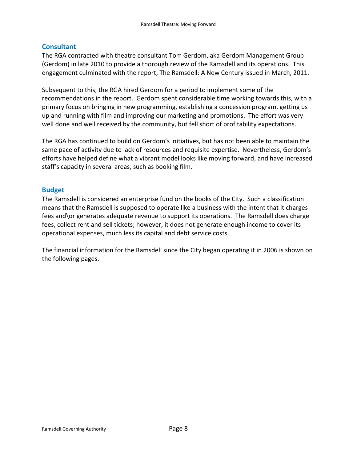#### <span id="page-9-0"></span>**Consultant**

The RGA contracted with theatre consultant Tom Gerdom, aka Gerdom Management Group (Gerdom) in late 2010 to provide a thorough review of the Ramsdell and its operations. This engagement culminated with the report, The Ramsdell: A New Century issued in March, 2011.

Subsequent to this, the RGA hired Gerdom for a period to implement some of the recommendations in the report. Gerdom spent considerable time working towards this, with a primary focus on bringing in new programming, establishing a concession program, getting us up and running with film and improving our marketing and promotions. The effort was very well done and well received by the community, but fell short of profitability expectations.

The RGA has continued to build on Gerdom's initiatives, but has not been able to maintain the same pace of activity due to lack of resources and requisite expertise. Nevertheless, Gerdom's efforts have helped define what a vibrant model looks like moving forward, and have increased staff's capacity in several areas, such as booking film.

#### <span id="page-9-1"></span>**Budget**

The Ramsdell is considered an enterprise fund on the books of the City. Such a classification means that the Ramsdell is supposed to operate like a business with the intent that it charges fees and\or generates adequate revenue to support its operations. The Ramsdell does charge fees, collect rent and sell tickets; however, it does not generate enough income to cover its operational expenses, much less its capital and debt service costs.

The financial information for the Ramsdell since the City began operating it in 2006 is shown on the following pages.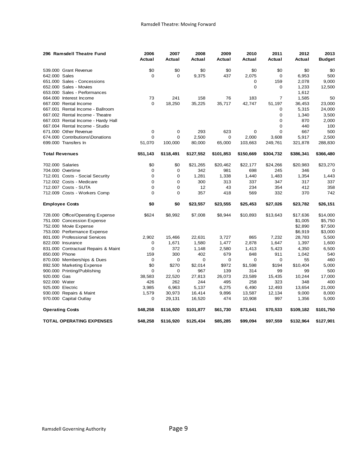| 296 Ramsdell Theatre Fund           | 2006        | 2007        | 2008      | 2009        | 2010        | 2011           | 2012      | 2013          |
|-------------------------------------|-------------|-------------|-----------|-------------|-------------|----------------|-----------|---------------|
|                                     | Actual      | Actual      | Actual    | Actual      | Actual      | Actual         | Actual    | <b>Budget</b> |
| 539.000 Grant Revenue               | \$0         | \$0         | \$0       | \$0         | \$0         | \$0            | \$0       | \$0           |
| 642,000 Sales                       | $\mathbf 0$ | $\mathbf 0$ | 9,375     | 437         | 2,075       | $\mathbf 0$    | 6,953     | 500           |
| 651.000 Sales - Concessions         |             |             |           |             | 0           | 159            | 2,078     | 9,000         |
| 652.000 Sales - Movies              |             |             |           |             | $\mathbf 0$ | $\mathbf 0$    | 1,233     | 12,500        |
| 653.000 Sales - Performances        |             |             |           |             |             |                | 1,612     |               |
| 664.000 Interest Income             | 73          | 241         | 158       | 76          | 183         | $\overline{7}$ | 1,585     | 50            |
| 667.000 Rental Income               | $\mathbf 0$ | 18,250      | 35,225    | 35,717      | 42,747      | 51,197         | 36,453    | 23,000        |
| 667.001 Rental Income - Ballroom    |             |             |           |             |             | 0              | 5,315     | 24,000        |
| 667,002 Rental Income - Theatre     |             |             |           |             |             | $\mathbf 0$    | 1,340     | 3,500         |
| 667.003 Rental Income - Hardy Hall  |             |             |           |             |             | $\Omega$       | 870       | 2,000         |
| 667.004 Rental Income - Studio      |             |             |           |             |             | $\Omega$       | 440       | 100           |
| 671.000 Other Revenue               | 0           | 0           | 293       | 623         | 0           | $\mathbf 0$    | 667       | 500           |
| 674.000 Contributions\Donations     | $\mathbf 0$ | $\mathbf 0$ | 2,500     | $\mathbf 0$ | 2,000       | 3,608          | 5,917     | 2,500         |
| 699.000 Transfers In                | 51,070      | 100,000     | 80,000    | 65,000      | 103,663     | 249,761        | 321,878   | 288,830       |
| <b>Total Revenues</b>               | \$51,143    | \$118,491   | \$127,552 | \$101,853   | \$150,669   | \$304,732      | \$386,341 | \$366,480     |
| 702.000 Salaries                    | \$0         | \$0         | \$21,265  | \$20,462    | \$22,177    | \$24,266       | \$20,983  | \$23,270      |
| 704.000 Overtime                    | $\mathbf 0$ | $\mathbf 0$ | 342       | 981         | 698         | 245            | 346       | $\mathbf 0$   |
| 712.001 Costs - Social Security     | $\mathbf 0$ | $\mathbf 0$ | 1,281     | 1,338       | 1,440       | 1,483          | 1,354     | 1,443         |
| 712.002 Costs - Medicare            | $\Omega$    | $\Omega$    | 300       | 313         | 337         | 347            | 317       | 337           |
| 712.007 Costs - SUTA                | $\Omega$    | $\Omega$    | 12        | 43          | 234         | 354            | 412       | 358           |
| 712.009 Costs - Workers Comp        | $\Omega$    | $\Omega$    | 357       | 418         | 569         | 332            | 370       | 742           |
| <b>Employee Costs</b>               | \$0         | \$0         | \$23,557  | \$23,555    | \$25,453    | \$27,026       | \$23,782  | \$26,151      |
| 728.000 Office/Operating Expense    | \$624       | \$8,992     | \$7,008   | \$8,944     | \$10,893    | \$13,643       | \$17,636  | \$14,000      |
| 751.000 Concession Expense          |             |             |           |             |             |                | \$1,005   | \$5,750       |
| 752.000 Movie Expense               |             |             |           |             |             |                | \$2,890   | \$7,500       |
| 753.000 Performance Expense         |             |             |           |             |             |                | \$6,919   | \$3,000       |
| 801.000 Professional Services       | 2,902       | 15,466      | 22,631    | 3,727       | 865         | 7,232          | 28,783    | 5,500         |
| 822.000 Insurance                   | $\mathbf 0$ | 1,671       | 1,580     | 1,477       | 2,878       | 1,647          | 1,397     | 1,600         |
| 831.000 Contractual Repairs & Maint | $\mathbf 0$ | 372         | 1,148     | 2,580       | 1,413       | 5,423          | 4,350     | 6,500         |
| 850,000 Phone                       | 159         | 300         | 402       | 679         | 848         | 911            | 1,042     | 540           |
| 870.000 Memberships & Dues          | $\mathbf 0$ | 0           | 0         | 0           | 0           | 0              | 55        | 460           |
| 892.500 Marketing Expense           | \$0         | \$270       | \$2,014   | \$972       | \$1,598     | \$194          | \$10,404  | 5,000         |
| 900.000 Printing/Publishing         | $\mathbf 0$ | 0           | 967       | 139         | 314         | 99             | 99        | 500           |
| 920.000 Gas                         | 38,583      | 22,520      | 27,813    | 26,073      | 23,589      | 15,435         | 10,244    | 17,000        |
| 922.000 Water                       | 426         | 262         | 244       | 495         | 258         | 323            | 348       | 400           |
| 925.000 Electric                    | 3,985       | 6,963       | 5,137     | 6,275       | 6,490       | 12,493         | 13,654    | 21,000        |
| 930.000 Repairs & Maint             | 1,579       | 30,973      | 16,414    | 9,896       | 13,587      | 12,134         | 9,000     | 8,000         |
| 970.000 Capital Outlay              | 0           | 29,131      | 16,520    | 474         | 10,908      | 997            | 1,356     | 5,000         |
| <b>Operating Costs</b>              | \$48,258    | \$116,920   | \$101,877 | \$61,730    | \$73,641    | \$70,533       | \$109,182 | \$101,750     |
| <b>TOTAL OPERATING EXPENSES</b>     | \$48,258    | \$116,920   | \$125,434 | \$85,285    | \$99,094    | \$97,559       | \$132,964 | \$127,901     |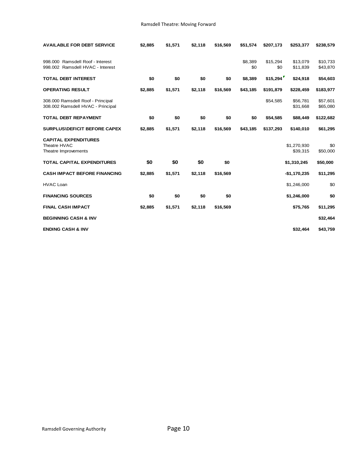| <b>AVAILABLE FOR DEBT SERVICE</b>                                      | \$2,885 | \$1,571 | \$2,118 | \$16,569 | \$51,574       | \$207,173       | \$253,377               | \$238,579            |
|------------------------------------------------------------------------|---------|---------|---------|----------|----------------|-----------------|-------------------------|----------------------|
| 998.000 Ramsdell Roof - Interest<br>998.002 Ramsdell HVAC - Interest   |         |         |         |          | \$8,389<br>\$0 | \$15,294<br>\$0 | \$13,079<br>\$11,839    | \$10,733<br>\$43,870 |
| <b>TOTAL DEBT INTEREST</b>                                             | \$0     | \$0     | \$0     | \$0      | \$8,389        | \$15,294        | \$24,918                | \$54,603             |
| <b>OPERATING RESULT</b>                                                | \$2,885 | \$1,571 | \$2,118 | \$16,569 | \$43,185       | \$191,879       | \$228,459               | \$183,977            |
| 308.000 Ramsdell Roof - Principal<br>308.002 Ramsdell HVAC - Principal |         |         |         |          |                | \$54,585        | \$56,781<br>\$31,668    | \$57,601<br>\$65,080 |
| <b>TOTAL DEBT REPAYMENT</b>                                            | \$0     | \$0     | \$0     | \$0      | \$0            | \$54,585        | \$88,449                | \$122,682            |
| <b>SURPLUS\DEFICIT BEFORE CAPEX</b>                                    | \$2,885 | \$1,571 | \$2,118 | \$16,569 | \$43,185       | \$137,293       | \$140,010               | \$61,295             |
| <b>CAPITAL EXPENDITURES</b><br>Theatre HVAC<br>Theatre Improvements    |         |         |         |          |                |                 | \$1,270,930<br>\$39,315 | \$0<br>\$50,000      |
| <b>TOTAL CAPITAL EXPENDITURES</b>                                      | \$0     | \$0     | \$0     | \$0      |                |                 | \$1,310,245             | \$50,000             |
| <b>CASH IMPACT BEFORE FINANCING</b>                                    | \$2,885 | \$1,571 | \$2,118 | \$16,569 |                |                 | $-$1,170,235$           | \$11,295             |
| <b>HVAC Loan</b>                                                       |         |         |         |          |                |                 | \$1,246,000             | \$0                  |
| <b>FINANCING SOURCES</b>                                               | \$0     | \$0     | \$0     | \$0      |                |                 | \$1,246,000             | \$0                  |
| <b>FINAL CASH IMPACT</b>                                               | \$2,885 | \$1,571 | \$2,118 | \$16,569 |                |                 | \$75,765                | \$11,295             |
| <b>BEGINNING CASH &amp; INV</b>                                        |         |         |         |          |                |                 |                         | \$32,464             |
| <b>ENDING CASH &amp; INV</b>                                           |         |         |         |          |                |                 | \$32,464                | \$43,759             |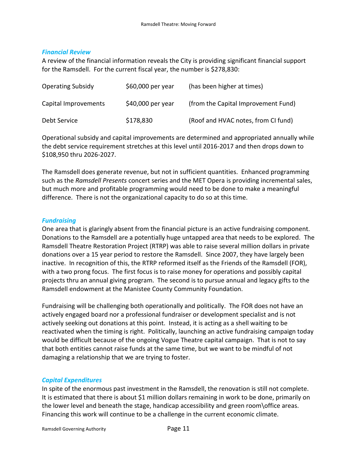#### *Financial Review*

A review of the financial information reveals the City is providing significant financial support for the Ramsdell. For the current fiscal year, the number is \$278,830:

| <b>Operating Subsidy</b> | \$60,000 per year | (has been higher at times)          |
|--------------------------|-------------------|-------------------------------------|
| Capital Improvements     | \$40,000 per year | (from the Capital Improvement Fund) |
| Debt Service             | \$178,830         | (Roof and HVAC notes, from CI fund) |

Operational subsidy and capital improvements are determined and appropriated annually while the debt service requirement stretches at this level until 2016-2017 and then drops down to \$108,950 thru 2026-2027.

The Ramsdell does generate revenue, but not in sufficient quantities. Enhanced programming such as the *Ramsdell Presents* concert series and the MET Opera is providing incremental sales, but much more and profitable programming would need to be done to make a meaningful difference. There is not the organizational capacity to do so at this time.

#### *Fundraising*

One area that is glaringly absent from the financial picture is an active fundraising component. Donations to the Ramsdell are a potentially huge untapped area that needs to be explored. The Ramsdell Theatre Restoration Project (RTRP) was able to raise several million dollars in private donations over a 15 year period to restore the Ramsdell. Since 2007, they have largely been inactive. In recognition of this, the RTRP reformed itself as the Friends of the Ramsdell (FOR), with a two prong focus. The first focus is to raise money for operations and possibly capital projects thru an annual giving program. The second is to pursue annual and legacy gifts to the Ramsdell endowment at the Manistee County Community Foundation.

Fundraising will be challenging both operationally and politically. The FOR does not have an actively engaged board nor a professional fundraiser or development specialist and is not actively seeking out donations at this point. Instead, it is acting as a shell waiting to be reactivated when the timing is right. Politically, launching an active fundraising campaign today would be difficult because of the ongoing Vogue Theatre capital campaign. That is not to say that both entities cannot raise funds at the same time, but we want to be mindful of not damaging a relationship that we are trying to foster.

#### *Capital Expenditures*

In spite of the enormous past investment in the Ramsdell, the renovation is still not complete. It is estimated that there is about \$1 million dollars remaining in work to be done, primarily on the lower level and beneath the stage, handicap accessibility and green room\office areas. Financing this work will continue to be a challenge in the current economic climate.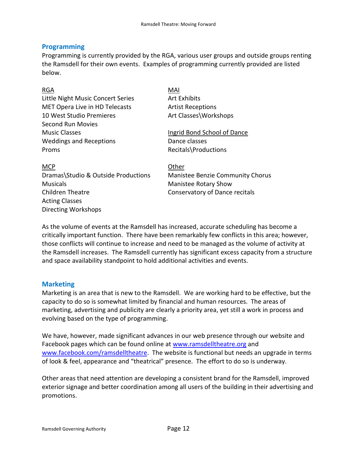#### <span id="page-13-0"></span>**Programming**

Programming is currently provided by the RGA, various user groups and outside groups renting the Ramsdell for their own events. Examples of programming currently provided are listed below.

| <b>RGA</b>                        | MAI                         |
|-----------------------------------|-----------------------------|
| Little Night Music Concert Series | <b>Art Exhibits</b>         |
| MET Opera Live in HD Telecasts    | <b>Artist Receptions</b>    |
| 10 West Studio Premieres          | Art Classes\Workshops       |
| <b>Second Run Movies</b>          |                             |
| <b>Music Classes</b>              | Ingrid Bond School of Dance |
| <b>Weddings and Receptions</b>    | Dance classes               |
| Proms                             | Recitals\Productions        |
|                                   |                             |
| <b>MCP</b>                        | Other                       |
|                                   |                             |

Dramas\Studio & Outside Productions Manistee Benzie Community Chorus Musicals Manistee Rotary Show Children Theatre **Conservatory of Dance recitals** Acting Classes Directing Workshops

As the volume of events at the Ramsdell has increased, accurate scheduling has become a critically important function. There have been remarkably few conflicts in this area; however, those conflicts will continue to increase and need to be managed as the volume of activity at the Ramsdell increases. The Ramsdell currently has significant excess capacity from a structure and space availability standpoint to hold additional activities and events.

#### <span id="page-13-1"></span>**Marketing**

Marketing is an area that is new to the Ramsdell. We are working hard to be effective, but the capacity to do so is somewhat limited by financial and human resources. The areas of marketing, advertising and publicity are clearly a priority area, yet still a work in process and evolving based on the type of programming.

We have, however, made significant advances in our web presence through our website and Facebook pages which can be found online at [www.ramsdelltheatre.org](http://www.ramsdelltheatre.org/) and [www.facebook.com/ramsdelltheatre.](http://www.facebook.com/ramsdelltheatre) The website is functional but needs an upgrade in terms of look & feel, appearance and "theatrical" presence. The effort to do so is underway.

Other areas that need attention are developing a consistent brand for the Ramsdell, improved exterior signage and better coordination among all users of the building in their advertising and promotions.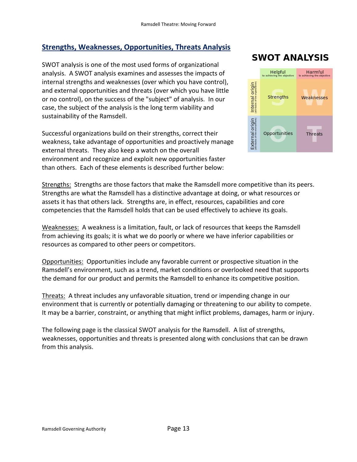# <span id="page-14-0"></span>**Strengths, Weaknesses, Opportunities, Threats Analysis**

SWOT analysis is one of the most used forms of organizational analysis. A SWOT analysis examines and assesses the impacts of internal strengths and weaknesses (over which you have control), and external opportunities and threats (over which you have little or no control), on the success of the "subject" of analysis. In our case, the subject of the analysis is the long term viability and sustainability of the Ramsdell.

Successful organizations build on their strengths, correct their weakness, take advantage of opportunities and proactively manage external threats. They also keep a watch on the overall environment and recognize and exploit new opportunities faster than others. Each of these elements is described further below:

# **SWOT ANALYSIS**



Strengths: Strengths are those factors that make the Ramsdell more competitive than its peers. Strengths are what the Ramsdell has a distinctive advantage at doing, or what resources or assets it has that others lack. Strengths are, in effect, resources, capabilities and core competencies that the Ramsdell holds that can be used effectively to achieve its goals.

Weaknesses: A weakness is a limitation, fault, or lack of resources that keeps the Ramsdell from achieving its goals; it is what we do poorly or where we have inferior capabilities or resources as compared to other peers or competitors.

Opportunities: Opportunities include any favorable current or prospective situation in the Ramsdell's environment, such as a trend, market conditions or overlooked need that supports the demand for our product and permits the Ramsdell to enhance its competitive position.

Threats: A threat includes any unfavorable situation, trend or impending change in our environment that is currently or potentially damaging or threatening to our ability to compete. It may be a barrier, constraint, or anything that might inflict problems, damages, harm or injury.

The following page is the classical SWOT analysis for the Ramsdell. A list of strengths, weaknesses, opportunities and threats is presented along with conclusions that can be drawn from this analysis.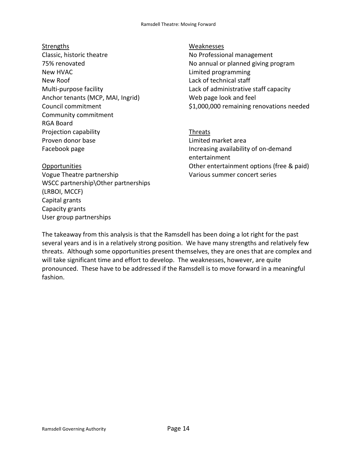#### **Strengths** Classic, historic theatre 75% renovated New HVAC New Roof Multi-purpose facility Anchor tenants (MCP, MAI, Ingrid) Council commitment Community commitment RGA Board Projection capability Proven donor base Facebook page

# Opportunities

Vogue Theatre partnership WSCC partnership\Other partnerships (LRBOI, MCCF) Capital grants Capacity grants User group partnerships

#### Weaknesses

No Professional management No annual or planned giving program Limited programming Lack of technical staff Lack of administrative staff capacity Web page look and feel \$1,000,000 remaining renovations needed

Threats Limited market area Increasing availability of on-demand entertainment Other entertainment options (free & paid) Various summer concert series

The takeaway from this analysis is that the Ramsdell has been doing a lot right for the past several years and is in a relatively strong position. We have many strengths and relatively few threats. Although some opportunities present themselves, they are ones that are complex and will take significant time and effort to develop. The weaknesses, however, are quite pronounced. These have to be addressed if the Ramsdell is to move forward in a meaningful fashion.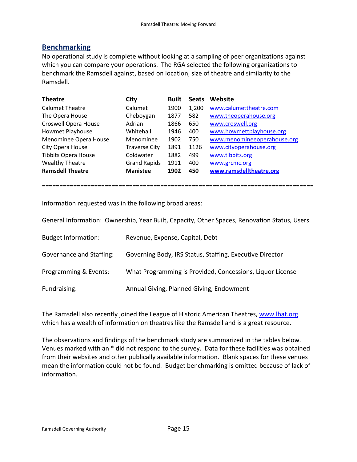### <span id="page-16-0"></span>**Benchmarking**

No operational study is complete without looking at a sampling of peer organizations against which you can compare your operations. The RGA selected the following organizations to benchmark the Ramsdell against, based on location, size of theatre and similarity to the Ramsdell.

| <b>Theatre</b>              | City                 | <b>Built</b> | <b>Seats</b> | Website                     |
|-----------------------------|----------------------|--------------|--------------|-----------------------------|
| <b>Calumet Theatre</b>      | Calumet              | 1900         | 1,200        | www.calumettheatre.com      |
| The Opera House             | Cheboygan            | 1877         | 582          | www.theoperahouse.org       |
| <b>Croswell Opera House</b> | Adrian               | 1866         | 650          | www.croswell.org            |
| Howmet Playhouse            | Whitehall            | 1946         | 400          | www.howmettplayhouse.org    |
| Menominee Opera House       | Menominee            | 1902         | 750          | www.menomineeoperahouse.org |
| City Opera House            | <b>Traverse City</b> | 1891         | 1126         | www.cityoperahouse.org      |
| <b>Tibbits Opera House</b>  | Coldwater            | 1882         | 499          | www.tibbits.org             |
| <b>Wealthy Theatre</b>      | <b>Grand Rapids</b>  | 1911         | 400          | www.grcmc.org               |
| <b>Ramsdell Theatre</b>     | <b>Manistee</b>      | 1902         | 450          | www.ramsdelltheatre.org     |

==============================================================================

Information requested was in the following broad areas:

General Information: Ownership, Year Built, Capacity, Other Spaces, Renovation Status, Users

| <b>Budget Information:</b> | Revenue, Expense, Capital, Debt                           |
|----------------------------|-----------------------------------------------------------|
| Governance and Staffing:   | Governing Body, IRS Status, Staffing, Executive Director  |
| Programming & Events:      | What Programming is Provided, Concessions, Liquor License |
| Fundraising:               | Annual Giving, Planned Giving, Endowment                  |

The Ramsdell also recently joined the League of Historic American Theatres, [www.lhat.org](http://www.lhat.org/) which has a wealth of information on theatres like the Ramsdell and is a great resource.

The observations and findings of the benchmark study are summarized in the tables below. Venues marked with an \* did not respond to the survey. Data for these facilities was obtained from their websites and other publically available information. Blank spaces for these venues mean the information could not be found. Budget benchmarking is omitted because of lack of information.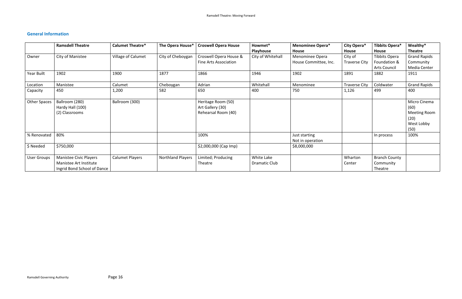# <span id="page-17-0"></span>**General Information**

|                     | <b>Ramsdell Theatre</b>     | <b>Calumet Theatre*</b> | The Opera House*         | <b>Croswell Opera House</b>  | Howmet*           | <b>Menominee Opera*</b> | City Opera*          | Tibbits Opera*       | Wealthy*            |
|---------------------|-----------------------------|-------------------------|--------------------------|------------------------------|-------------------|-------------------------|----------------------|----------------------|---------------------|
|                     |                             |                         |                          |                              | Playhouse         | House                   | House                | <b>House</b>         | <b>Theatre</b>      |
| Owner               | City of Manistee            | Village of Calumet      | City of Cheboygan        | Croswell Opera House &       | City of Whitehall | Menominee Opera         | City of              | Tibbits Opera        | <b>Grand Rapids</b> |
|                     |                             |                         |                          | <b>Fine Arts Association</b> |                   | House Committee, Inc.   | <b>Traverse City</b> | Foundation &         | Community           |
|                     |                             |                         |                          |                              |                   |                         |                      | <b>Arts Council</b>  | Media Center        |
| Year Built          | 1902                        | 1900                    | 1877                     | 1866                         | 1946              | 1902                    | 1891                 | 1882                 | 1911                |
| Location            | Manistee                    | Calumet                 | Cheboygan                | Adrian                       | Whitehall         | Menominee               | <b>Traverse City</b> | Coldwater            | <b>Grand Rapids</b> |
| Capacity            | 450                         | 1,200                   | 582                      | 650                          | 400               | 750                     | 1,126                | 499                  | 400                 |
| <b>Other Spaces</b> | Ballroom (280)              | Ballroom (300)          |                          | Heritage Room (50)           |                   |                         |                      |                      | Micro Cinema        |
|                     | Hardy Hall (100)            |                         |                          | Art Gallery (30)             |                   |                         |                      |                      | (60)                |
|                     | (2) Classrooms              |                         |                          | Rehearsal Room (40)          |                   |                         |                      |                      | Meeting Room        |
|                     |                             |                         |                          |                              |                   |                         |                      |                      | (20)                |
|                     |                             |                         |                          |                              |                   |                         |                      |                      | West Lobby          |
|                     |                             |                         |                          |                              |                   |                         |                      |                      | (50)                |
| % Renovated         | 80%                         |                         |                          | 100%                         |                   | Just starting           |                      | In process           | 100%                |
|                     |                             |                         |                          |                              |                   | Not in operation        |                      |                      |                     |
| \$ Needed           | \$750,000                   |                         |                          | \$2,000,000 (Cap Imp)        |                   | \$8,000,000             |                      |                      |                     |
| <b>User Groups</b>  | Manistee Civic Players      | Calumet Players         | <b>Northland Players</b> | Limited; Producing           | White Lake        |                         | Wharton              | <b>Branch County</b> |                     |
|                     | Manistee Art Institute      |                         |                          | Theatre                      | Dramatic Club     |                         | Center               | Community            |                     |
|                     | Ingrid Bond School of Dance |                         |                          |                              |                   |                         |                      | Theatre              |                     |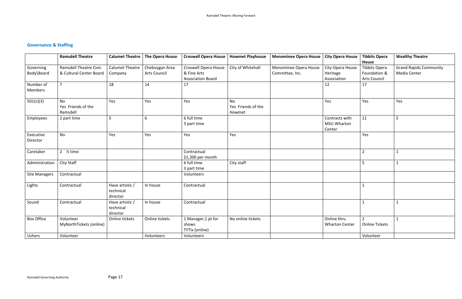# <span id="page-18-0"></span>**Governance & Staffing**

|                       | <b>Ramsdell Theatre</b>                     | <b>Calumet Theatre</b>                   | The Opera House | <b>Croswell Opera House</b>                    | <b>Howmet Playhouse</b>                   | <b>Menominee Opera House</b> | <b>City Opera House</b>                        | <b>Tibbits Opera</b><br>House        | <b>Wealthy Theatre</b>        |
|-----------------------|---------------------------------------------|------------------------------------------|-----------------|------------------------------------------------|-------------------------------------------|------------------------------|------------------------------------------------|--------------------------------------|-------------------------------|
| Governing             | <b>Ramsdell Theatre Civic</b>               | <b>Calumet Theatre</b>                   | Cheboygan Area  | <b>Croswell Opera House</b>                    | City of Whitehall                         | Menominee Opera House        | City Opera House                               | <b>Tibbits Opera</b>                 | <b>Grand Rapids Community</b> |
| Body\Board            | & Cultural Center Board                     | Company                                  | Arts Council    | & Fine Arts                                    |                                           | Committee, Inc.              | Heritage                                       | Foundation &                         | Media Center                  |
|                       |                                             |                                          |                 | <b>Association Board</b>                       |                                           |                              | Association                                    | Arts Council                         |                               |
| Number of<br>Members  | $\overline{7}$                              | 18                                       | 14              | 17                                             |                                           |                              | 12                                             | 17                                   |                               |
| 501(c)(3)             | <b>No</b><br>Yes Friends of the<br>Ramsdell | Yes                                      | Yes             | Yes                                            | <b>No</b><br>Yes Friends of the<br>Howmet |                              | Yes                                            | Yes                                  | Yes                           |
| Employees             | 2 part time                                 | 5                                        | 6               | 6 full time<br>3 part time                     |                                           |                              | Contracts with<br><b>MSU Wharton</b><br>Center | 11                                   | 5                             |
| Executive<br>Director | <b>No</b>                                   | Yes                                      | Yes             | Yes                                            | Yes                                       |                              |                                                | Yes                                  |                               |
| Caretaker             | 2 $\frac{1}{2}$ time                        |                                          |                 | Contractual<br>\$1,300 per month               |                                           |                              |                                                | $\overline{2}$                       | $\mathbf 1$                   |
| Administration        | City Staff                                  |                                          |                 | 6 full time<br>3 part time                     | City staff                                |                              |                                                | 5 <sup>1</sup>                       | -1                            |
| <b>Site Managers</b>  | Contractual                                 |                                          |                 | Volunteers                                     |                                           |                              |                                                |                                      |                               |
| Lights                | Contractual                                 | Have artistic /<br>technical<br>director | In house        | Contractual                                    |                                           |                              |                                                | $\mathbf{1}$                         |                               |
| Sound                 | Contractual                                 | Have artistic /<br>technical<br>director | In house        | Contractual                                    |                                           |                              |                                                | $\mathbf{1}$                         | $\mathbf{1}$                  |
| <b>Box Office</b>     | Volunteer<br>MyNorthTickets (online)        | Online tickets                           | Online tickets  | 1 Manager, 1 pt for<br>shows<br>TYTix (online) | No online tickets                         |                              | Online thru<br><b>Wharton Center</b>           | $2^{\circ}$<br><b>Online Tickets</b> | $\mathbf{1}$                  |
| Ushers                | Volunteer                                   |                                          | Volunteers      | Volunteers                                     |                                           |                              |                                                | Volunteer                            |                               |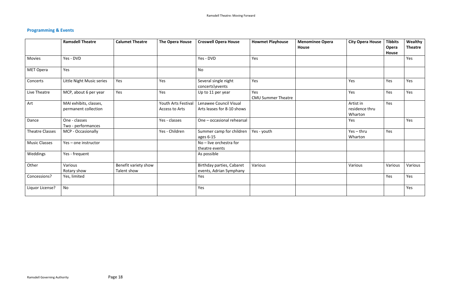# **Programming & Events**

|                        | <b>Ramsdell Theatre</b>                        | <b>Calumet Theatre</b>              | <b>The Opera House</b>                | <b>Croswell Opera House</b>                          | <b>Howmet Playhouse</b>          | <b>Menominee Opera</b><br><b>House</b> | <b>City Opera House</b>                | <b>Tibbits</b><br>Opera<br>House | Wealthy<br><b>Theatre</b> |
|------------------------|------------------------------------------------|-------------------------------------|---------------------------------------|------------------------------------------------------|----------------------------------|----------------------------------------|----------------------------------------|----------------------------------|---------------------------|
| Movies                 | Yes - DVD                                      |                                     |                                       | Yes - DVD                                            | Yes                              |                                        |                                        |                                  | Yes                       |
| <b>MET Opera</b>       | Yes                                            |                                     |                                       | <b>No</b>                                            |                                  |                                        |                                        |                                  |                           |
| Concerts               | Little Night Music series                      | Yes                                 | Yes                                   | Several single night<br>concerts\events              | Yes                              |                                        | Yes                                    | Yes                              | Yes                       |
| Live Theatre           | MCP, about 6 per year                          | Yes                                 | Yes                                   | Up to 11 per year                                    | Yes<br><b>CMU Summer Theatre</b> |                                        | Yes                                    | Yes                              | Yes                       |
| Art                    | MAI exhibits, classes,<br>permanent collection |                                     | Youth Arts Festival<br>Access to Arts | Lenawee Council Visual<br>Arts leases for 8-10 shows |                                  |                                        | Artist in<br>residence thru<br>Wharton | Yes                              |                           |
| Dance                  | One - classes<br>Two - performances            |                                     | Yes - classes                         | One - occasional rehearsal                           |                                  |                                        | Yes                                    |                                  | Yes                       |
| <b>Theatre Classes</b> | MCP - Occasionally                             |                                     | Yes - Children                        | Summer camp for children<br>ages 6-15                | Yes - youth                      |                                        | $Yes - thru$<br>Wharton                | Yes                              |                           |
| <b>Music Classes</b>   | Yes - one instructor                           |                                     |                                       | No - live orchestra for<br>theatre events            |                                  |                                        |                                        |                                  |                           |
| Weddings               | Yes - frequent                                 |                                     |                                       | As possible                                          |                                  |                                        |                                        |                                  |                           |
| Other                  | Various<br>Rotary show                         | Benefit variety show<br>Talent show |                                       | Birthday parties, Cabaret<br>events, Adrian Symphany | Various                          |                                        | Various                                | Various                          | Various                   |
| Concessions?           | Yes, limited                                   |                                     |                                       | Yes                                                  |                                  |                                        |                                        | Yes                              | Yes                       |
| Liquor License?        | No                                             |                                     |                                       | Yes                                                  |                                  |                                        |                                        |                                  | Yes                       |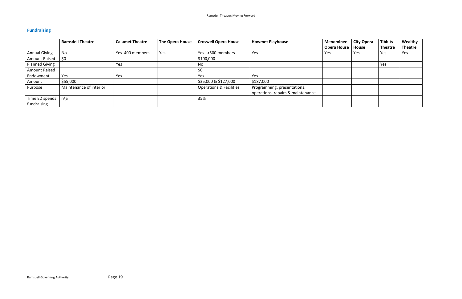# <span id="page-20-0"></span>**Fundraising**

|                       | <b>Ramsdell Theatre</b> | <b>Calumet Theatre</b> | <b>The Opera House</b> | <b>Croswell Opera House</b>        | <b>Howmet Playhouse</b>           | <b>Menominee</b>   | <b>City Opera</b> | <b>Tibbits</b> | Wealthy        |
|-----------------------|-------------------------|------------------------|------------------------|------------------------------------|-----------------------------------|--------------------|-------------------|----------------|----------------|
|                       |                         |                        |                        |                                    |                                   | <b>Opera House</b> | <b>House</b>      | <b>Theatre</b> | <b>Theatre</b> |
| <b>Annual Giving</b>  | No                      | Yes 400 members        | Yes                    | Yes >500 members                   | Yes                               | Yes                | Yes               | Yes            | Yes            |
| Amount Raised         | \$0                     |                        |                        | \$100,000                          |                                   |                    |                   |                |                |
| <b>Planned Giving</b> |                         | Yes                    |                        | No                                 |                                   |                    |                   | Yes            |                |
| <b>Amount Raised</b>  |                         |                        |                        | \$0                                |                                   |                    |                   |                |                |
| Endowment             | Yes                     | Yes                    |                        | Yes                                | Yes                               |                    |                   |                |                |
| Amount                | \$55,000                |                        |                        | \$35,000 & \$127,000               | \$187,000                         |                    |                   |                |                |
| Purpose               | Maintenance of interior |                        |                        | <b>Operations &amp; Facilities</b> | Programming, presentations,       |                    |                   |                |                |
|                       |                         |                        |                        |                                    | operations, repairs & maintenance |                    |                   |                |                |
| Time ED spends        | n\a                     |                        |                        | 35%                                |                                   |                    |                   |                |                |
| fundraising           |                         |                        |                        |                                    |                                   |                    |                   |                |                |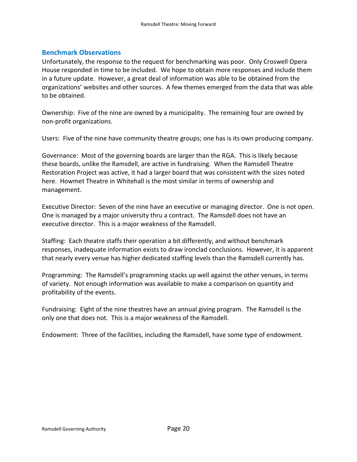#### <span id="page-21-0"></span>**Benchmark Observations**

Unfortunately, the response to the request for benchmarking was poor. Only Croswell Opera House responded in time to be included. We hope to obtain more responses and include them in a future update. However, a great deal of information was able to be obtained from the organizations' websites and other sources. A few themes emerged from the data that was able to be obtained.

Ownership: Five of the nine are owned by a municipality. The remaining four are owned by non-profit organizations.

Users: Five of the nine have community theatre groups; one has is its own producing company.

Governance: Most of the governing boards are larger than the RGA. This is likely because these boards, unlike the Ramsdell, are active in fundraising. When the Ramsdell Theatre Restoration Project was active, it had a larger board that was consistent with the sizes noted here. Howmet Theatre in Whitehall is the most similar in terms of ownership and management.

Executive Director: Seven of the nine have an executive or managing director. One is not open. One is managed by a major university thru a contract. The Ramsdell does not have an executive director. This is a major weakness of the Ramsdell.

Staffing: Each theatre staffs their operation a bit differently, and without benchmark responses, inadequate information exists to draw ironclad conclusions. However, it is apparent that nearly every venue has higher dedicated staffing levels than the Ramsdell currently has.

Programming: The Ramsdell's programming stacks up well against the other venues, in terms of variety. Not enough information was available to make a comparison on quantity and profitability of the events.

Fundraising: Eight of the nine theatres have an annual giving program. The Ramsdell is the only one that does not. This is a major weakness of the Ramsdell.

Endowment: Three of the facilities, including the Ramsdell, have some type of endowment.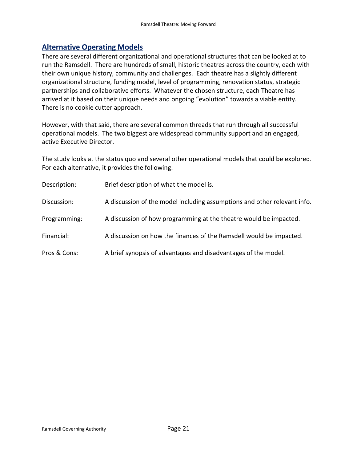## <span id="page-22-0"></span>**Alternative Operating Models**

There are several different organizational and operational structures that can be looked at to run the Ramsdell. There are hundreds of small, historic theatres across the country, each with their own unique history, community and challenges. Each theatre has a slightly different organizational structure, funding model, level of programming, renovation status, strategic partnerships and collaborative efforts. Whatever the chosen structure, each Theatre has arrived at it based on their unique needs and ongoing "evolution" towards a viable entity. There is no cookie cutter approach.

However, with that said, there are several common threads that run through all successful operational models. The two biggest are widespread community support and an engaged, active Executive Director.

The study looks at the status quo and several other operational models that could be explored. For each alternative, it provides the following:

| Description: | Brief description of what the model is.                                  |
|--------------|--------------------------------------------------------------------------|
| Discussion:  | A discussion of the model including assumptions and other relevant info. |
| Programming: | A discussion of how programming at the theatre would be impacted.        |
| Financial:   | A discussion on how the finances of the Ramsdell would be impacted.      |
| Pros & Cons: | A brief synopsis of advantages and disadvantages of the model.           |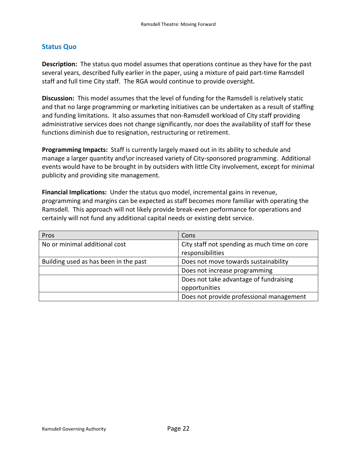#### <span id="page-23-0"></span>**Status Quo**

**Description:** The status quo model assumes that operations continue as they have for the past several years, described fully earlier in the paper, using a mixture of paid part-time Ramsdell staff and full time City staff. The RGA would continue to provide oversight.

**Discussion:** This model assumes that the level of funding for the Ramsdell is relatively static and that no large programming or marketing initiatives can be undertaken as a result of staffing and funding limitations. It also assumes that non-Ramsdell workload of City staff providing administrative services does not change significantly, nor does the availability of staff for these functions diminish due to resignation, restructuring or retirement.

**Programming Impacts:** Staff is currently largely maxed out in its ability to schedule and manage a larger quantity and\or increased variety of City-sponsored programming. Additional events would have to be brought in by outsiders with little City involvement, except for minimal publicity and providing site management.

**Financial Implications:** Under the status quo model, incremental gains in revenue, programming and margins can be expected as staff becomes more familiar with operating the Ramsdell. This approach will not likely provide break-even performance for operations and certainly will not fund any additional capital needs or existing debt service.

| Pros                                  | Cons                                         |
|---------------------------------------|----------------------------------------------|
| No or minimal additional cost         | City staff not spending as much time on core |
|                                       | responsibilities                             |
| Building used as has been in the past | Does not move towards sustainability         |
|                                       | Does not increase programming                |
|                                       | Does not take advantage of fundraising       |
|                                       | opportunities                                |
|                                       | Does not provide professional management     |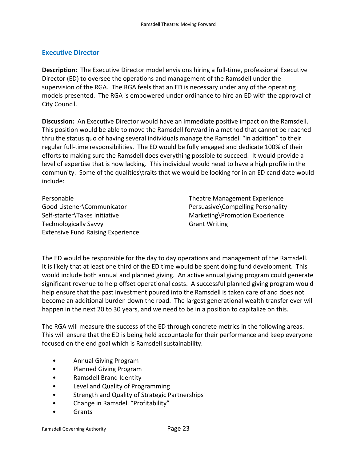#### <span id="page-24-0"></span>**Executive Director**

**Description:** The Executive Director model envisions hiring a full-time, professional Executive Director (ED) to oversee the operations and management of the Ramsdell under the supervision of the RGA. The RGA feels that an ED is necessary under any of the operating models presented. The RGA is empowered under ordinance to hire an ED with the approval of City Council.

**Discussion:** An Executive Director would have an immediate positive impact on the Ramsdell. This position would be able to move the Ramsdell forward in a method that cannot be reached thru the status quo of having several individuals manage the Ramsdell "in addition" to their regular full-time responsibilities. The ED would be fully engaged and dedicate 100% of their efforts to making sure the Ramsdell does everything possible to succeed. It would provide a level of expertise that is now lacking. This individual would need to have a high profile in the community. Some of the qualities\traits that we would be looking for in an ED candidate would include:

Personable Theatre Management Experience Self-starter\Takes Initiative Marketing\Promotion Experience Technologically Savvy **Grant Writing** Extensive Fund Raising Experience

Good Listener\Communicator Persuasive\Compelling Personality

The ED would be responsible for the day to day operations and management of the Ramsdell. It is likely that at least one third of the ED time would be spent doing fund development. This would include both annual and planned giving. An active annual giving program could generate significant revenue to help offset operational costs. A successful planned giving program would help ensure that the past investment poured into the Ramsdell is taken care of and does not become an additional burden down the road. The largest generational wealth transfer ever will happen in the next 20 to 30 years, and we need to be in a position to capitalize on this.

The RGA will measure the success of the ED through concrete metrics in the following areas. This will ensure that the ED is being held accountable for their performance and keep everyone focused on the end goal which is Ramsdell sustainability.

- Annual Giving Program
- Planned Giving Program
- Ramsdell Brand Identity
- Level and Quality of Programming
- Strength and Quality of Strategic Partnerships
- Change in Ramsdell "Profitability"
- **Grants**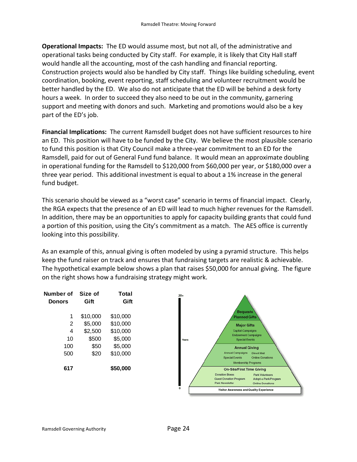**Operational Impacts:** The ED would assume most, but not all, of the administrative and operational tasks being conducted by City staff. For example, it is likely that City Hall staff would handle all the accounting, most of the cash handling and financial reporting. Construction projects would also be handled by City staff. Things like building scheduling, event coordination, booking, event reporting, staff scheduling and volunteer recruitment would be better handled by the ED. We also do not anticipate that the ED will be behind a desk forty hours a week. In order to succeed they also need to be out in the community, garnering support and meeting with donors and such. Marketing and promotions would also be a key part of the ED's job.

**Financial Implications:** The current Ramsdell budget does not have sufficient resources to hire an ED. This position will have to be funded by the City. We believe the most plausible scenario to fund this position is that City Council make a three-year commitment to an ED for the Ramsdell, paid for out of General Fund fund balance. It would mean an approximate doubling in operational funding for the Ramsdell to \$120,000 from \$60,000 per year, or \$180,000 over a three year period. This additional investment is equal to about a 1% increase in the general fund budget.

This scenario should be viewed as a "worst case" scenario in terms of financial impact. Clearly, the RGA expects that the presence of an ED will lead to much higher revenues for the Ramsdell. In addition, there may be an opportunities to apply for capacity building grants that could fund a portion of this position, using the City's commitment as a match. The AES office is currently looking into this possibility.

As an example of this, annual giving is often modeled by using a pyramid structure. This helps keep the fund raiser on track and ensures that fundraising targets are realistic & achievable. The hypothetical example below shows a plan that raises \$50,000 for annual giving. The figure on the right shows how a fundraising strategy might work.

| Number of<br><b>Donors</b> | Size of<br>Gift | Total<br>Gift |
|----------------------------|-----------------|---------------|
| 1                          | \$10,000        | \$10,000      |
| 2                          | \$5,000         | \$10,000      |
| 4                          | \$2,500         | \$10,000      |
| 10                         | \$500           | \$5,000       |
| 100                        | \$50            | \$5,000       |
| 500                        | \$20            | \$10,000      |
| 617                        |                 | \$50,000      |

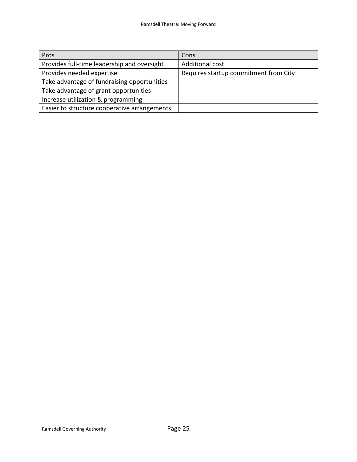| Pros                                         | Cons                                  |
|----------------------------------------------|---------------------------------------|
| Provides full-time leadership and oversight  | Additional cost                       |
| Provides needed expertise                    | Requires startup commitment from City |
| Take advantage of fundraising opportunities  |                                       |
| Take advantage of grant opportunities        |                                       |
| Increase utilization & programming           |                                       |
| Easier to structure cooperative arrangements |                                       |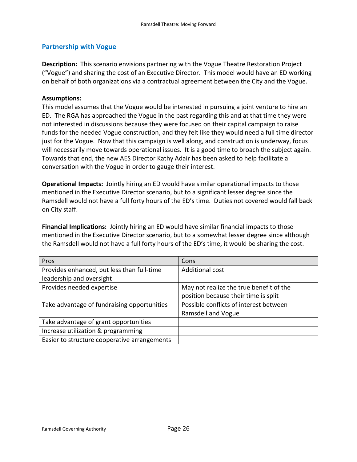#### <span id="page-27-0"></span>**Partnership with Vogue**

**Description:** This scenario envisions partnering with the Vogue Theatre Restoration Project ("Vogue") and sharing the cost of an Executive Director. This model would have an ED working on behalf of both organizations via a contractual agreement between the City and the Vogue.

#### **Assumptions:**

This model assumes that the Vogue would be interested in pursuing a joint venture to hire an ED. The RGA has approached the Vogue in the past regarding this and at that time they were not interested in discussions because they were focused on their capital campaign to raise funds for the needed Vogue construction, and they felt like they would need a full time director just for the Vogue. Now that this campaign is well along, and construction is underway, focus will necessarily move towards operational issues. It is a good time to broach the subject again. Towards that end, the new AES Director Kathy Adair has been asked to help facilitate a conversation with the Vogue in order to gauge their interest.

**Operational Impacts:** Jointly hiring an ED would have similar operational impacts to those mentioned in the Executive Director scenario, but to a significant lesser degree since the Ramsdell would not have a full forty hours of the ED's time. Duties not covered would fall back on City staff.

**Financial Implications:** Jointly hiring an ED would have similar financial impacts to those mentioned in the Executive Director scenario, but to a somewhat lesser degree since although the Ramsdell would not have a full forty hours of the ED's time, it would be sharing the cost.

| Pros                                         | Cons                                    |
|----------------------------------------------|-----------------------------------------|
| Provides enhanced, but less than full-time   | Additional cost                         |
| leadership and oversight                     |                                         |
| Provides needed expertise                    | May not realize the true benefit of the |
|                                              | position because their time is split    |
| Take advantage of fundraising opportunities  | Possible conflicts of interest between  |
|                                              | <b>Ramsdell and Vogue</b>               |
| Take advantage of grant opportunities        |                                         |
| Increase utilization & programming           |                                         |
| Easier to structure cooperative arrangements |                                         |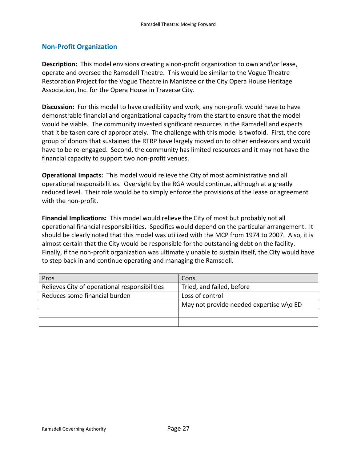#### <span id="page-28-0"></span>**Non-Profit Organization**

**Description:** This model envisions creating a non-profit organization to own and\or lease, operate and oversee the Ramsdell Theatre. This would be similar to the Vogue Theatre Restoration Project for the Vogue Theatre in Manistee or the City Opera House Heritage Association, Inc. for the Opera House in Traverse City.

**Discussion:** For this model to have credibility and work, any non-profit would have to have demonstrable financial and organizational capacity from the start to ensure that the model would be viable. The community invested significant resources in the Ramsdell and expects that it be taken care of appropriately. The challenge with this model is twofold. First, the core group of donors that sustained the RTRP have largely moved on to other endeavors and would have to be re-engaged. Second, the community has limited resources and it may not have the financial capacity to support two non-profit venues.

**Operational Impacts:** This model would relieve the City of most administrative and all operational responsibilities. Oversight by the RGA would continue, although at a greatly reduced level. Their role would be to simply enforce the provisions of the lease or agreement with the non-profit.

**Financial Implications:** This model would relieve the City of most but probably not all operational financial responsibilities. Specifics would depend on the particular arrangement. It should be clearly noted that this model was utilized with the MCP from 1974 to 2007. Also, it is almost certain that the City would be responsible for the outstanding debt on the facility. Finally, if the non-profit organization was ultimately unable to sustain itself, the City would have to step back in and continue operating and managing the Ramsdell.

| Pros                                          | Cons                                      |
|-----------------------------------------------|-------------------------------------------|
| Relieves City of operational responsibilities | Tried, and failed, before                 |
| Reduces some financial burden                 | Loss of control                           |
|                                               | May not provide needed expertise $w$ o ED |
|                                               |                                           |
|                                               |                                           |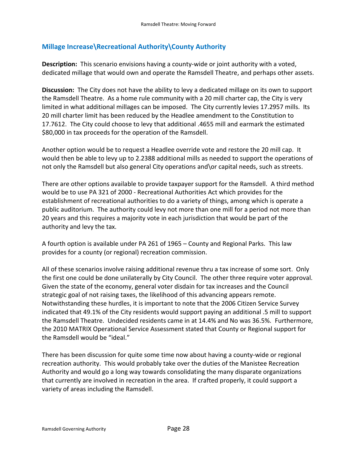### <span id="page-29-0"></span>**Millage Increase\Recreational Authority\County Authority**

**Description:** This scenario envisions having a county-wide or joint authority with a voted, dedicated millage that would own and operate the Ramsdell Theatre, and perhaps other assets.

**Discussion:** The City does not have the ability to levy a dedicated millage on its own to support the Ramsdell Theatre. As a home rule community with a 20 mill charter cap, the City is very limited in what additional millages can be imposed. The City currently levies 17.2957 mills. Its 20 mill charter limit has been reduced by the Headlee amendment to the Constitution to 17.7612. The City could choose to levy that additional .4655 mill and earmark the estimated \$80,000 in tax proceeds for the operation of the Ramsdell.

Another option would be to request a Headlee override vote and restore the 20 mill cap. It would then be able to levy up to 2.2388 additional mills as needed to support the operations of not only the Ramsdell but also general City operations and\or capital needs, such as streets.

There are other options available to provide taxpayer support for the Ramsdell. A third method would be to use PA 321 of 2000 - Recreational Authorities Act which provides for the establishment of recreational authorities to do a variety of things, among which is operate a public auditorium. The authority could levy not more than one mill for a period not more than 20 years and this requires a majority vote in each jurisdiction that would be part of the authority and levy the tax.

A fourth option is available under PA 261 of 1965 – County and Regional Parks. This law provides for a county (or regional) recreation commission.

All of these scenarios involve raising additional revenue thru a tax increase of some sort. Only the first one could be done unilaterally by City Council. The other three require voter approval. Given the state of the economy, general voter disdain for tax increases and the Council strategic goal of not raising taxes, the likelihood of this advancing appears remote. Notwithstanding these hurdles, it is important to note that the 2006 Citizen Service Survey indicated that 49.1% of the City residents would support paying an additional .5 mill to support the Ramsdell Theatre. Undecided residents came in at 14.4% and No was 36.5%. Furthermore, the 2010 MATRIX Operational Service Assessment stated that County or Regional support for the Ramsdell would be "ideal."

There has been discussion for quite some time now about having a county-wide or regional recreation authority. This would probably take over the duties of the Manistee Recreation Authority and would go a long way towards consolidating the many disparate organizations that currently are involved in recreation in the area. If crafted properly, it could support a variety of areas including the Ramsdell.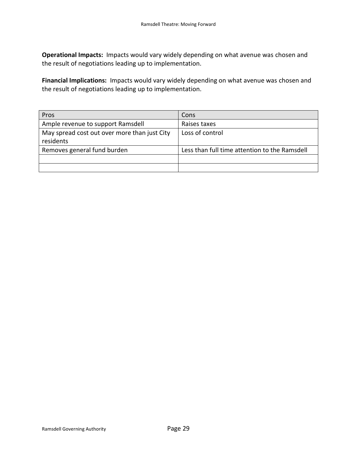**Operational Impacts:** Impacts would vary widely depending on what avenue was chosen and the result of negotiations leading up to implementation.

**Financial Implications:** Impacts would vary widely depending on what avenue was chosen and the result of negotiations leading up to implementation.

| Pros                                                      | Cons                                          |
|-----------------------------------------------------------|-----------------------------------------------|
| Ample revenue to support Ramsdell                         | Raises taxes                                  |
| May spread cost out over more than just City<br>residents | Loss of control                               |
| Removes general fund burden                               | Less than full time attention to the Ramsdell |
|                                                           |                                               |
|                                                           |                                               |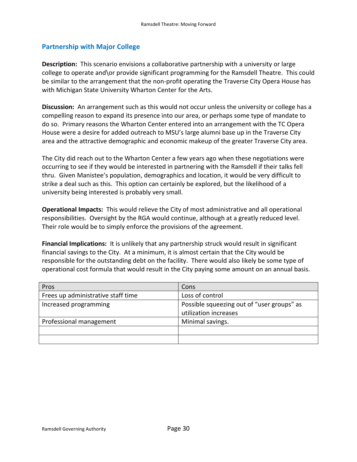#### <span id="page-31-0"></span>**Partnership with Major College**

**Description:** This scenario envisions a collaborative partnership with a university or large college to operate and\or provide significant programming for the Ramsdell Theatre. This could be similar to the arrangement that the non-profit operating the Traverse City Opera House has with Michigan State University Wharton Center for the Arts.

**Discussion:** An arrangement such as this would not occur unless the university or college has a compelling reason to expand its presence into our area, or perhaps some type of mandate to do so. Primary reasons the Wharton Center entered into an arrangement with the TC Opera House were a desire for added outreach to MSU's large alumni base up in the Traverse City area and the attractive demographic and economic makeup of the greater Traverse City area.

The City did reach out to the Wharton Center a few years ago when these negotiations were occurring to see if they would be interested in partnering with the Ramsdell if their talks fell thru. Given Manistee's population, demographics and location, it would be very difficult to strike a deal such as this. This option can certainly be explored, but the likelihood of a university being interested is probably very small.

**Operational Impacts:** This would relieve the City of most administrative and all operational responsibilities. Oversight by the RGA would continue, although at a greatly reduced level. Their role would be to simply enforce the provisions of the agreement.

**Financial Implications:** It is unlikely that any partnership struck would result in significant financial savings to the City. At a minimum, it is almost certain that the City would be responsible for the outstanding debt on the facility. There would also likely be some type of operational cost formula that would result in the City paying some amount on an annual basis.

| Pros                               | Cons                                                                |
|------------------------------------|---------------------------------------------------------------------|
| Frees up administrative staff time | Loss of control                                                     |
| Increased programming              | Possible squeezing out of "user groups" as<br>utilization increases |
| Professional management            | Minimal savings.                                                    |
|                                    |                                                                     |
|                                    |                                                                     |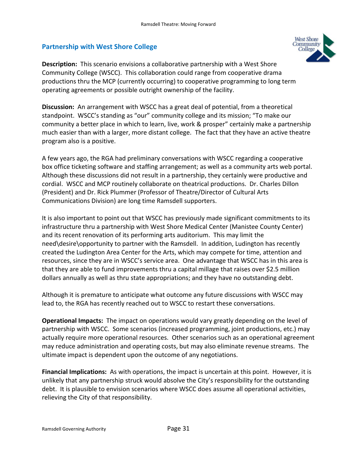#### <span id="page-32-0"></span>**Partnership with West Shore College**



**Description:** This scenario envisions a collaborative partnership with a West Shore Community College (WSCC). This collaboration could range from cooperative drama productions thru the MCP (currently occurring) to cooperative programming to long term operating agreements or possible outright ownership of the facility.

**Discussion:** An arrangement with WSCC has a great deal of potential, from a theoretical standpoint. WSCC's standing as "our" community college and its mission; "To make our community a better place in which to learn, live, work & prosper" certainly make a partnership much easier than with a larger, more distant college. The fact that they have an active theatre program also is a positive.

A few years ago, the RGA had preliminary conversations with WSCC regarding a cooperative box office ticketing software and staffing arrangement; as well as a community arts web portal. Although these discussions did not result in a partnership, they certainly were productive and cordial. WSCC and MCP routinely collaborate on theatrical productions. Dr. Charles Dillon (President) and Dr. Rick Plummer (Professor of Theatre/Director of Cultural Arts Communications Division) are long time Ramsdell supporters.

It is also important to point out that WSCC has previously made significant commitments to its infrastructure thru a partnership with West Shore Medical Center (Manistee County Center) and its recent renovation of its performing arts auditorium. This may limit the need\desire\opportunity to partner with the Ramsdell. In addition, Ludington has recently created the Ludington Area Center for the Arts, which may compete for time, attention and resources, since they are in WSCC's service area. One advantage that WSCC has in this area is that they are able to fund improvements thru a capital millage that raises over \$2.5 million dollars annually as well as thru state appropriations; and they have no outstanding debt.

Although it is premature to anticipate what outcome any future discussions with WSCC may lead to, the RGA has recently reached out to WSCC to restart these conversations.

**Operational Impacts:** The impact on operations would vary greatly depending on the level of partnership with WSCC. Some scenarios (increased programming, joint productions, etc.) may actually require more operational resources. Other scenarios such as an operational agreement may reduce administration and operating costs, but may also eliminate revenue streams. The ultimate impact is dependent upon the outcome of any negotiations.

**Financial Implications:** As with operations, the impact is uncertain at this point. However, it is unlikely that any partnership struck would absolve the City's responsibility for the outstanding debt. It is plausible to envision scenarios where WSCC does assume all operational activities, relieving the City of that responsibility.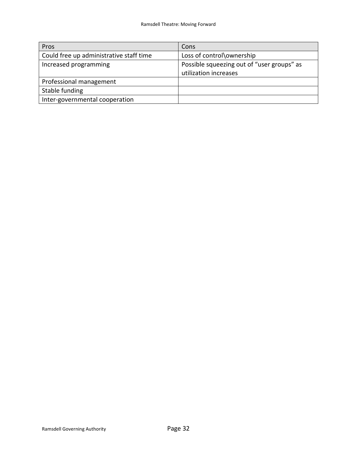| Pros                                    | Cons                                       |
|-----------------------------------------|--------------------------------------------|
| Could free up administrative staff time | Loss of control\ownership                  |
| Increased programming                   | Possible squeezing out of "user groups" as |
|                                         | utilization increases                      |
| Professional management                 |                                            |
| Stable funding                          |                                            |
| Inter-governmental cooperation          |                                            |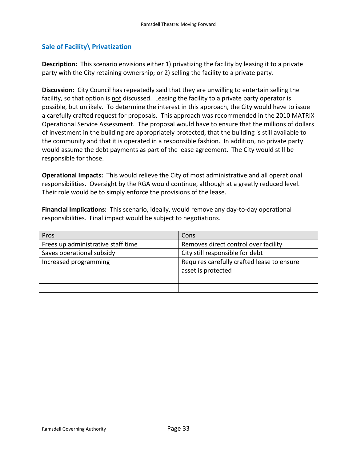#### <span id="page-34-0"></span>**Sale of Facility\ Privatization**

**Description:** This scenario envisions either 1) privatizing the facility by leasing it to a private party with the City retaining ownership; or 2) selling the facility to a private party.

**Discussion:** City Council has repeatedly said that they are unwilling to entertain selling the facility, so that option is not discussed. Leasing the facility to a private party operator is possible, but unlikely. To determine the interest in this approach, the City would have to issue a carefully crafted request for proposals. This approach was recommended in the 2010 MATRIX Operational Service Assessment. The proposal would have to ensure that the millions of dollars of investment in the building are appropriately protected, that the building is still available to the community and that it is operated in a responsible fashion. In addition, no private party would assume the debt payments as part of the lease agreement. The City would still be responsible for those.

**Operational Impacts:** This would relieve the City of most administrative and all operational responsibilities. Oversight by the RGA would continue, although at a greatly reduced level. Their role would be to simply enforce the provisions of the lease.

**Financial Implications:** This scenario, ideally, would remove any day-to-day operational responsibilities. Final impact would be subject to negotiations.

| Pros                               | Cons                                       |
|------------------------------------|--------------------------------------------|
| Frees up administrative staff time | Removes direct control over facility       |
| Saves operational subsidy          | City still responsible for debt            |
| Increased programming              | Requires carefully crafted lease to ensure |
|                                    | asset is protected                         |
|                                    |                                            |
|                                    |                                            |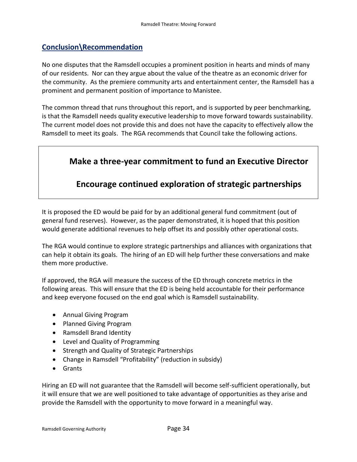# **Conclusion\Recommendation**

No one disputes that the Ramsdell occupies a prominent position in hearts and minds of many of our residents. Nor can they argue about the value of the theatre as an economic driver for the community. As the premiere community arts and entertainment center, the Ramsdell has a prominent and permanent position of importance to Manistee.

The common thread that runs throughout this report, and is supported by peer benchmarking, is that the Ramsdell needs quality executive leadership to move forward towards sustainability. The current model does not provide this and does not have the capacity to effectively allow the Ramsdell to meet its goals. The RGA recommends that Council take the following actions.

# **Make a three-year commitment to fund an Executive Director**

# **Encourage continued exploration of strategic partnerships**

It is proposed the ED would be paid for by an additional general fund commitment (out of general fund reserves). However, as the paper demonstrated, it is hoped that this position would generate additional revenues to help offset its and possibly other operational costs.

The RGA would continue to explore strategic partnerships and alliances with organizations that can help it obtain its goals. The hiring of an ED will help further these conversations and make them more productive.

If approved, the RGA will measure the success of the ED through concrete metrics in the following areas. This will ensure that the ED is being held accountable for their performance and keep everyone focused on the end goal which is Ramsdell sustainability.

- Annual Giving Program
- Planned Giving Program
- Ramsdell Brand Identity
- Level and Quality of Programming
- Strength and Quality of Strategic Partnerships
- Change in Ramsdell "Profitability" (reduction in subsidy)
- Grants

Hiring an ED will not guarantee that the Ramsdell will become self-sufficient operationally, but it will ensure that we are well positioned to take advantage of opportunities as they arise and provide the Ramsdell with the opportunity to move forward in a meaningful way.